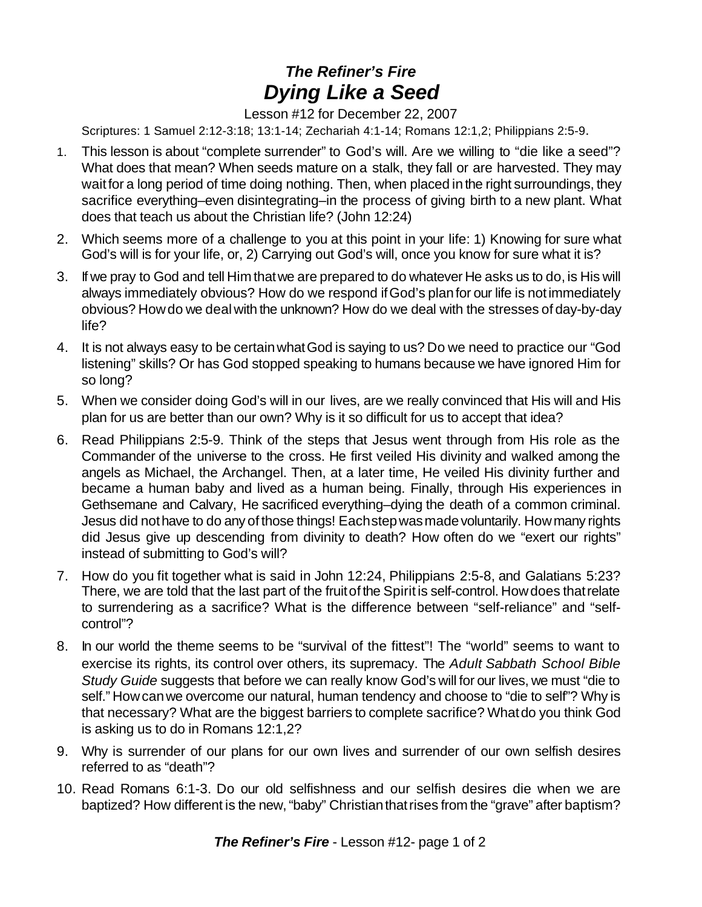## *The Refiner's Fire Dying Like a Seed*

Lesson #12 for December 22, 2007

Scriptures: 1 Samuel 2:12-3:18; 13:1-14; Zechariah 4:1-14; Romans 12:1,2; Philippians 2:5-9.

- 1. This lesson is about "complete surrender" to God's will. Are we willing to "die like a seed"? What does that mean? When seeds mature on a stalk, they fall or are harvested. They may wait for a long period of time doing nothing. Then, when placed in the right surroundings, they sacrifice everything–even disintegrating–in the process of giving birth to a new plant. What does that teach us about the Christian life? (John 12:24)
- 2. Which seems more of a challenge to you at this point in your life: 1) Knowing for sure what God's will is for your life, or, 2) Carrying out God's will, once you know for sure what it is?
- 3. If we pray to God and tell Himthatwe are prepared to do whatever He asks us to do, is His will always immediately obvious? How do we respond ifGod's planfor our life is notimmediately obvious? Howdo we dealwith the unknown? How do we deal with the stresses of day-by-day life?
- 4. It is not always easy to be certainwhatGod is saying to us? Do we need to practice our "God listening" skills? Or has God stopped speaking to humans because we have ignored Him for so long?
- 5. When we consider doing God's will in our lives, are we really convinced that His will and His plan for us are better than our own? Why is it so difficult for us to accept that idea?
- 6. Read Philippians 2:5-9. Think of the steps that Jesus went through from His role as the Commander of the universe to the cross. He first veiled His divinity and walked among the angels as Michael, the Archangel. Then, at a later time, He veiled His divinity further and became a human baby and lived as a human being. Finally, through His experiences in Gethsemane and Calvary, He sacrificed everything–dying the death of a common criminal. Jesus did not have to do any of those things! Each step was made voluntarily. How many rights did Jesus give up descending from divinity to death? How often do we "exert our rights" instead of submitting to God's will?
- 7. How do you fit together what is said in John 12:24, Philippians 2:5-8, and Galatians 5:23? There, we are told that the last part of the fruitof the Spirit is self-control. Howdoes thatrelate to surrendering as a sacrifice? What is the difference between "self-reliance" and "selfcontrol"?
- 8. In our world the theme seems to be "survival of the fittest"! The "world" seems to want to exercise its rights, its control over others, its supremacy. The *Adult Sabbath School Bible Study Guide* suggests that before we can really know God's will for our lives, we must "die to self." How can we overcome our natural, human tendency and choose to "die to self"? Why is that necessary? What are the biggest barriers to complete sacrifice? Whatdo you think God is asking us to do in Romans 12:1,2?
- 9. Why is surrender of our plans for our own lives and surrender of our own selfish desires referred to as "death"?
- 10. Read Romans 6:1-3. Do our old selfishness and our selfish desires die when we are baptized? How different is the new, "baby" Christian that rises from the "grave" after baptism?